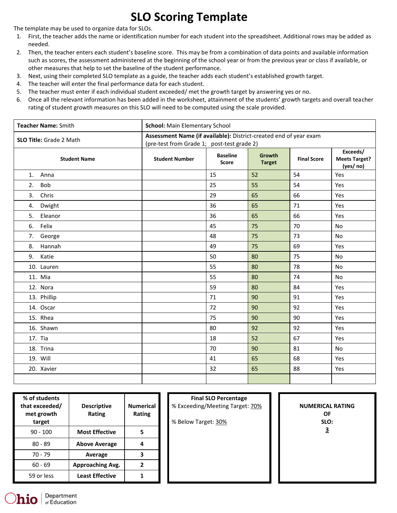## **SLO Scoring Template**

The template may be used to organize data for SLOs.

- 1. First, the teacher adds the name or identification number for each student into the spreadsheet. Additional rows may be added as needed.
- 2. Then, the teacher enters each student's baseline score. This may be from a combination of data points and available information such as scores, the assessment administered at the beginning of the school year or from the previous year or class if available, or other measures that help to set the baseline of the student performance.
- 3. Next, using their completed SLO template as a guide, the teacher adds each student's established growth target.
- 4. The teacher will enter the final performance data for each student.
- 5. The teacher must enter if each individual student exceeded/ met the growth target by answering yes or no.
- 6. Once all the relevant information has been added in the worksheet, attainment of the students' growth targets and overall teacher rating of student growth measures on this SLO will need to be computed using the scale provided.

| Teacher Name: Smith            |  | <b>School: Main Elementary School</b>                                                                           |                                 |                                |                    |                                               |  |  |  |
|--------------------------------|--|-----------------------------------------------------------------------------------------------------------------|---------------------------------|--------------------------------|--------------------|-----------------------------------------------|--|--|--|
| <b>SLO Title: Grade 2 Math</b> |  | Assessment Name (if available): District-created end of year exam<br>(pre-test from Grade 1; post-test grade 2) |                                 |                                |                    |                                               |  |  |  |
| <b>Student Name</b>            |  | <b>Student Number</b>                                                                                           | <b>Baseline</b><br><b>Score</b> | <b>Growth</b><br><b>Target</b> | <b>Final Score</b> | Exceeds/<br><b>Meets Target?</b><br>(yes/ no) |  |  |  |
| 1.<br>Anna                     |  |                                                                                                                 | 15                              | 52                             | 54                 | Yes                                           |  |  |  |
| 2.<br><b>Bob</b>               |  |                                                                                                                 | 25                              | 55                             | 54                 | Yes                                           |  |  |  |
| Chris<br>3.                    |  |                                                                                                                 | 29                              | 65                             | 66                 | Yes                                           |  |  |  |
| Dwight<br>4.                   |  |                                                                                                                 | 36                              | 65                             | 71                 | Yes                                           |  |  |  |
| 5.<br>Eleanor                  |  |                                                                                                                 | 36                              | 65                             | 66                 | Yes                                           |  |  |  |
| Felix<br>6.                    |  |                                                                                                                 | 45                              | 75                             | 70                 | No                                            |  |  |  |
| George<br>7.                   |  |                                                                                                                 | 48                              | 75                             | 73                 | <b>No</b>                                     |  |  |  |
| Hannah<br>8.                   |  |                                                                                                                 | 49                              | 75                             | 69                 | Yes                                           |  |  |  |
| Katie<br>9.                    |  |                                                                                                                 | 50                              | 80                             | 75                 | <b>No</b>                                     |  |  |  |
| 10. Lauren                     |  |                                                                                                                 | 55                              | 80                             | 78                 | <b>No</b>                                     |  |  |  |
| 11. Mia                        |  |                                                                                                                 | 55                              | 80                             | 74                 | <b>No</b>                                     |  |  |  |
| 12. Nora                       |  |                                                                                                                 | 59                              | 80                             | 84                 | Yes                                           |  |  |  |
| 13. Phillip                    |  |                                                                                                                 | 71                              | 90                             | 91                 | Yes                                           |  |  |  |
| 14. Oscar                      |  |                                                                                                                 | 72                              | 90                             | 92                 | Yes                                           |  |  |  |
| 15. Rhea                       |  |                                                                                                                 | 75                              | 90                             | 90                 | Yes                                           |  |  |  |
| 16. Shawn                      |  |                                                                                                                 | 80                              | 92                             | 92                 | Yes                                           |  |  |  |
| 17. Tia                        |  |                                                                                                                 | 18                              | 52                             | 67                 | Yes                                           |  |  |  |
| 18. Trina                      |  |                                                                                                                 | 70                              | 90                             | 81                 | <b>No</b>                                     |  |  |  |
| 19. Will                       |  |                                                                                                                 | 41                              | 65                             | 68                 | Yes                                           |  |  |  |
| 20. Xavier                     |  |                                                                                                                 | 32                              | 65                             | 88                 | Yes                                           |  |  |  |
|                                |  |                                                                                                                 |                                 |                                |                    |                                               |  |  |  |

| % of students<br>that exceeded/<br>met growth<br>target | <b>Descriptive</b><br>Rating | <b>Numerical</b><br>Rating | <b>Final SLO Percentage</b><br>% Exceeding/Meeting Target: 70%<br>% Below Target: 30% | <b>NUMERICA</b><br>$\Omega$<br><b>SLC</b> |
|---------------------------------------------------------|------------------------------|----------------------------|---------------------------------------------------------------------------------------|-------------------------------------------|
| $90 - 100$                                              | <b>Most Effective</b>        | 5                          |                                                                                       | $\overline{\mathbf{3}}$                   |
| $80 - 89$                                               | <b>Above Average</b>         | 4                          |                                                                                       |                                           |
| $70 - 79$                                               | Average                      | 3                          |                                                                                       |                                           |
| $60 - 69$                                               | Approaching Avg.             | 2                          |                                                                                       |                                           |
| 59 or less                                              | <b>Least Effective</b>       |                            |                                                                                       |                                           |

**NUMERICAL RATING OF SLO:**